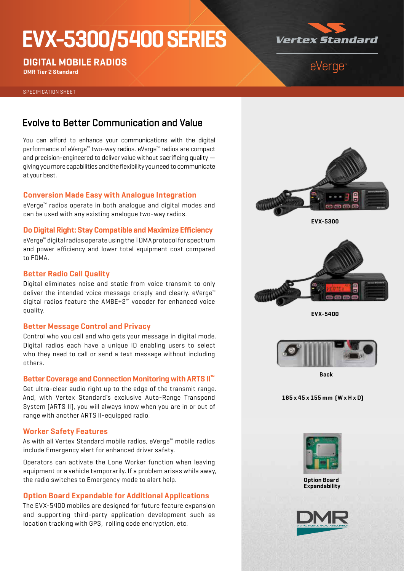# **EVX-5300/5400 SERIES**



**DIGITAL MOBILE RADIOS**

**DMR Tier 2 Standard**

# eVerge<sup>®</sup>

SPECIFICATION SHEET

## Evolve to Better Communication and Value

You can afford to enhance your communications with the digital performance of eVerge™ two-way radios. eVerge™ radios are compact and precision-engineered to deliver value without sacrificing quality giving you more capabilities and the flexibility you need to communicate at your best.

#### **Conversion Made Easy with Analogue Integration**

eVerge™ radios operate in both analogue and digital modes and can be used with any existing analogue two-way radios.

### **Do Digital Right: Stay Compatible and Maximize Efficiency**

eVerge™ digital radios operate using the TDMA protocol for spectrum and power efficiency and lower total equipment cost compared to FDMA.

#### **Better Radio Call Quality**

Digital eliminates noise and static from voice transmit to only deliver the intended voice message crisply and clearly. eVerge<sup>™</sup> digital radios feature the AMBE+2™ vocoder for enhanced voice quality.

#### **Better Message Control and Privacy**

Control who you call and who gets your message in digital mode. Digital radios each have a unique ID enabling users to select who they need to call or send a text message without including others.

#### **Better Coverage and Connection Monitoring with ARTS II™**

Get ultra-clear audio right up to the edge of the transmit range. And, with Vertex Standard's exclusive Auto-Range Transpond System (ARTS II), you will always know when you are in or out of range with another ARTS II-equipped radio.

#### **Worker Safety Features**

As with all Vertex Standard mobile radios, eVerge™ mobile radios include Emergency alert for enhanced driver safety.

Operators can activate the Lone Worker function when leaving equipment or a vehicle temporarily. If a problem arises while away, the radio switches to Emergency mode to alert help.

### **Option Board Expandable for Additional Applications**

The EVX-5400 mobiles are designed for future feature expansion and supporting third-party application development such as location tracking with GPS, rolling code encryption, etc.



**EVX-5300**



**EVX-5400**



**Back** 

**165 x 45 x 155 mm (W x H x D)**



**Option Board Expandability**